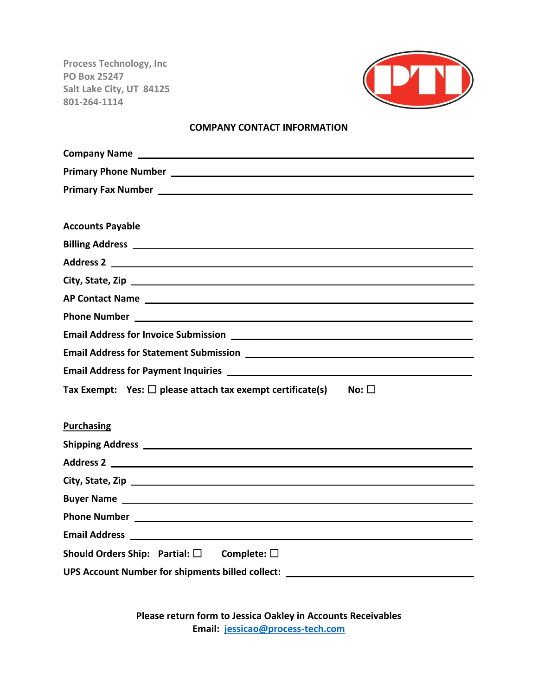**Process Technology, Inc PO Box 25247 Salt Lake City, UT 84125 801-264-1114**



#### **COMPANY CONTACT INFORMATION**

| Primary Fax Number 2008 2012 2022 2023 2024 2022 2023 2024 2022 2023 2024 2022 2023 2024 2022 2023 2024 2022 20 |  |  |  |  |
|-----------------------------------------------------------------------------------------------------------------|--|--|--|--|
|                                                                                                                 |  |  |  |  |
| <b>Accounts Payable</b>                                                                                         |  |  |  |  |
|                                                                                                                 |  |  |  |  |
| Address 2                                                                                                       |  |  |  |  |
|                                                                                                                 |  |  |  |  |
|                                                                                                                 |  |  |  |  |
| Phone Number <b>Phone Number Phone Number Phone Number</b>                                                      |  |  |  |  |
|                                                                                                                 |  |  |  |  |
|                                                                                                                 |  |  |  |  |
|                                                                                                                 |  |  |  |  |
| Tax Exempt: Yes: $\square$ please attach tax exempt certificate(s)<br>$No: \Box$                                |  |  |  |  |
|                                                                                                                 |  |  |  |  |
| <b>Purchasing</b>                                                                                               |  |  |  |  |
|                                                                                                                 |  |  |  |  |
|                                                                                                                 |  |  |  |  |
|                                                                                                                 |  |  |  |  |
|                                                                                                                 |  |  |  |  |
| <b>Phone Number Example 2018</b>                                                                                |  |  |  |  |
|                                                                                                                 |  |  |  |  |
| Should Orders Ship: Partial: $\square$ Complete: $\square$                                                      |  |  |  |  |
| UPS Account Number for shipments billed collect: _______________________________                                |  |  |  |  |
|                                                                                                                 |  |  |  |  |

**Please return form to Jessica Oakley in Accounts Receivables Email: [jessicao@process-tech.com](mailto:jessicao@process-tech.com)**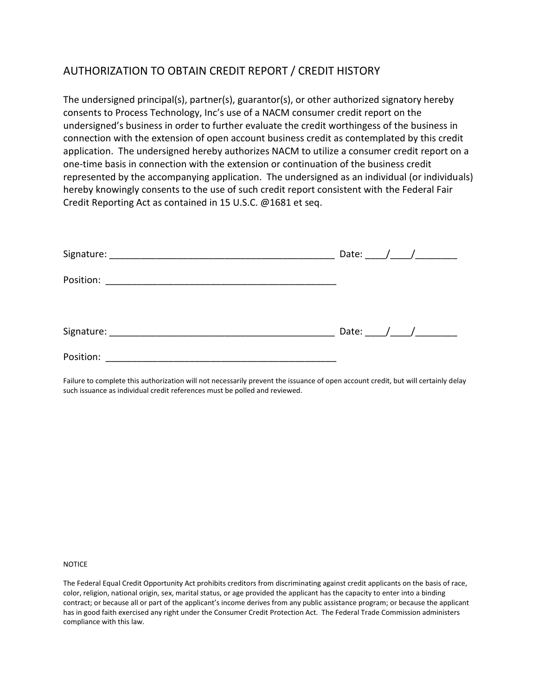# AUTHORIZATION TO OBTAIN CREDIT REPORT / CREDIT HISTORY

The undersigned principal(s), partner(s), guarantor(s), or other authorized signatory hereby consents to Process Technology, Inc's use of a NACM consumer credit report on the undersigned's business in order to further evaluate the credit worthingess of the business in connection with the extension of open account business credit as contemplated by this credit application. The undersigned hereby authorizes NACM to utilize a consumer credit report on a one-time basis in connection with the extension or continuation of the business credit represented by the accompanying application. The undersigned as an individual (or individuals) hereby knowingly consents to the use of such credit report consistent with the Federal Fair Credit Reporting Act as contained in 15 U.S.C. @1681 et seq.

|           |  | Date: $\frac{1}{\sqrt{1-\frac{1}{2}}}\frac{1}{\sqrt{1-\frac{1}{2}}}\frac{1}{\sqrt{1-\frac{1}{2}}}\frac{1}{\sqrt{1-\frac{1}{2}}}\frac{1}{\sqrt{1-\frac{1}{2}}}\frac{1}{\sqrt{1-\frac{1}{2}}}\frac{1}{\sqrt{1-\frac{1}{2}}}\frac{1}{\sqrt{1-\frac{1}{2}}}\frac{1}{\sqrt{1-\frac{1}{2}}}\frac{1}{\sqrt{1-\frac{1}{2}}}\frac{1}{\sqrt{1-\frac{1}{2}}}\frac{1}{\sqrt{1-\frac{1}{2}}}\frac{1}{\sqrt{1-\frac{1}{2}}}\frac{1}{\$ |  |
|-----------|--|--------------------------------------------------------------------------------------------------------------------------------------------------------------------------------------------------------------------------------------------------------------------------------------------------------------------------------------------------------------------------------------------------------------------------|--|
|           |  |                                                                                                                                                                                                                                                                                                                                                                                                                          |  |
|           |  | Date: $/$ /                                                                                                                                                                                                                                                                                                                                                                                                              |  |
| Position: |  |                                                                                                                                                                                                                                                                                                                                                                                                                          |  |

Failure to complete this authorization will not necessarily prevent the issuance of open account credit, but will certainly delay such issuance as individual credit references must be polled and reviewed.

NOTICE

The Federal Equal Credit Opportunity Act prohibits creditors from discriminating against credit applicants on the basis of race, color, religion, national origin, sex, marital status, or age provided the applicant has the capacity to enter into a binding contract; or because all or part of the applicant's income derives from any public assistance program; or because the applicant has in good faith exercised any right under the Consumer Credit Protection Act. The Federal Trade Commission administers compliance with this law.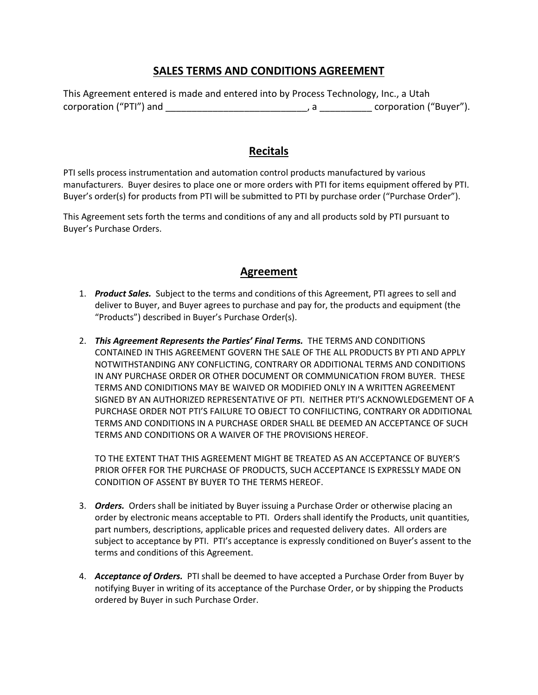## **SALES TERMS AND CONDITIONS AGREEMENT**

|                         | This Agreement entered is made and entered into by Process Technology, Inc., a Utah |                        |
|-------------------------|-------------------------------------------------------------------------------------|------------------------|
| corporation ("PTI") and |                                                                                     | corporation ("Buyer"). |

## **Recitals**

PTI sells process instrumentation and automation control products manufactured by various manufacturers. Buyer desires to place one or more orders with PTI for items equipment offered by PTI. Buyer's order(s) for products from PTI will be submitted to PTI by purchase order ("Purchase Order").

This Agreement sets forth the terms and conditions of any and all products sold by PTI pursuant to Buyer's Purchase Orders.

#### **Agreement**

- 1. *Product Sales.* Subject to the terms and conditions of this Agreement, PTI agrees to sell and deliver to Buyer, and Buyer agrees to purchase and pay for, the products and equipment (the "Products") described in Buyer's Purchase Order(s).
- 2. *This Agreement Represents the Parties' Final Terms.* THE TERMS AND CONDITIONS CONTAINED IN THIS AGREEMENT GOVERN THE SALE OF THE ALL PRODUCTS BY PTI AND APPLY NOTWITHSTANDING ANY CONFLICTING, CONTRARY OR ADDITIONAL TERMS AND CONDITIONS IN ANY PURCHASE ORDER OR OTHER DOCUMENT OR COMMUNICATION FROM BUYER. THESE TERMS AND CONIDITIONS MAY BE WAIVED OR MODIFIED ONLY IN A WRITTEN AGREEMENT SIGNED BY AN AUTHORIZED REPRESENTATIVE OF PTI. NEITHER PTI'S ACKNOWLEDGEMENT OF A PURCHASE ORDER NOT PTI'S FAILURE TO OBJECT TO CONFILICTING, CONTRARY OR ADDITIONAL TERMS AND CONDITIONS IN A PURCHASE ORDER SHALL BE DEEMED AN ACCEPTANCE OF SUCH TERMS AND CONDITIONS OR A WAIVER OF THE PROVISIONS HEREOF.

TO THE EXTENT THAT THIS AGREEMENT MIGHT BE TREATED AS AN ACCEPTANCE OF BUYER'S PRIOR OFFER FOR THE PURCHASE OF PRODUCTS, SUCH ACCEPTANCE IS EXPRESSLY MADE ON CONDITION OF ASSENT BY BUYER TO THE TERMS HEREOF.

- 3. *Orders.* Orders shall be initiated by Buyer issuing a Purchase Order or otherwise placing an order by electronic means acceptable to PTI. Orders shall identify the Products, unit quantities, part numbers, descriptions, applicable prices and requested delivery dates. All orders are subject to acceptance by PTI. PTI's acceptance is expressly conditioned on Buyer's assent to the terms and conditions of this Agreement.
- 4. *Acceptance of Orders.* PTI shall be deemed to have accepted a Purchase Order from Buyer by notifying Buyer in writing of its acceptance of the Purchase Order, or by shipping the Products ordered by Buyer in such Purchase Order.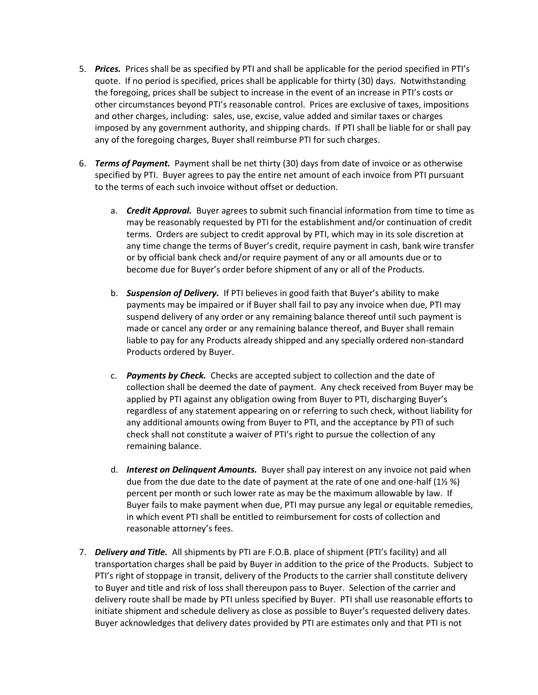- 5. *Prices.* Prices shall be as specified by PTI and shall be applicable for the period specified in PTI's quote. If no period is specified, prices shall be applicable for thirty (30) days. Notwithstanding the foregoing, prices shall be subject to increase in the event of an increase in PTI's costs or other circumstances beyond PTI's reasonable control. Prices are exclusive of taxes, impositions and other charges, including: sales, use, excise, value added and similar taxes or charges imposed by any government authority, and shipping chards. If PTI shall be liable for or shall pay any of the foregoing charges, Buyer shall reimburse PTI for such charges.
- 6. *Terms of Payment.* Payment shall be net thirty (30) days from date of invoice or as otherwise specified by PTI. Buyer agrees to pay the entire net amount of each invoice from PTI pursuant to the terms of each such invoice without offset or deduction.
	- a. *Credit Approval.* Buyer agrees to submit such financial information from time to time as may be reasonably requested by PTI for the establishment and/or continuation of credit terms. Orders are subject to credit approval by PTI, which may in its sole discretion at any time change the terms of Buyer's credit, require payment in cash, bank wire transfer or by official bank check and/or require payment of any or all amounts due or to become due for Buyer's order before shipment of any or all of the Products.
	- b. *Suspension of Delivery.* If PTI believes in good faith that Buyer's ability to make payments may be impaired or if Buyer shall fail to pay any invoice when due, PTI may suspend delivery of any order or any remaining balance thereof until such payment is made or cancel any order or any remaining balance thereof, and Buyer shall remain liable to pay for any Products already shipped and any specially ordered non-standard Products ordered by Buyer.
	- c. *Payments by Check.* Checks are accepted subject to collection and the date of collection shall be deemed the date of payment. Any check received from Buyer may be applied by PTI against any obligation owing from Buyer to PTI, discharging Buyer's regardless of any statement appearing on or referring to such check, without liability for any additional amounts owing from Buyer to PTI, and the acceptance by PTI of such check shall not constitute a waiver of PTI's right to pursue the collection of any remaining balance.
	- d. *Interest on Delinquent Amounts.* Buyer shall pay interest on any invoice not paid when due from the due date to the date of payment at the rate of one and one-half (1½ %) percent per month or such lower rate as may be the maximum allowable by law. If Buyer fails to make payment when due, PTI may pursue any legal or equitable remedies, in which event PTI shall be entitled to reimbursement for costs of collection and reasonable attorney's fees.
- 7. *Delivery and Title.* All shipments by PTI are F.O.B. place of shipment (PTI's facility) and all transportation charges shall be paid by Buyer in addition to the price of the Products. Subject to PTI's right of stoppage in transit, delivery of the Products to the carrier shall constitute delivery to Buyer and title and risk of loss shall thereupon pass to Buyer. Selection of the carrier and delivery route shall be made by PTI unless specified by Buyer. PTI shall use reasonable efforts to initiate shipment and schedule delivery as close as possible to Buyer's requested delivery dates. Buyer acknowledges that delivery dates provided by PTI are estimates only and that PTI is not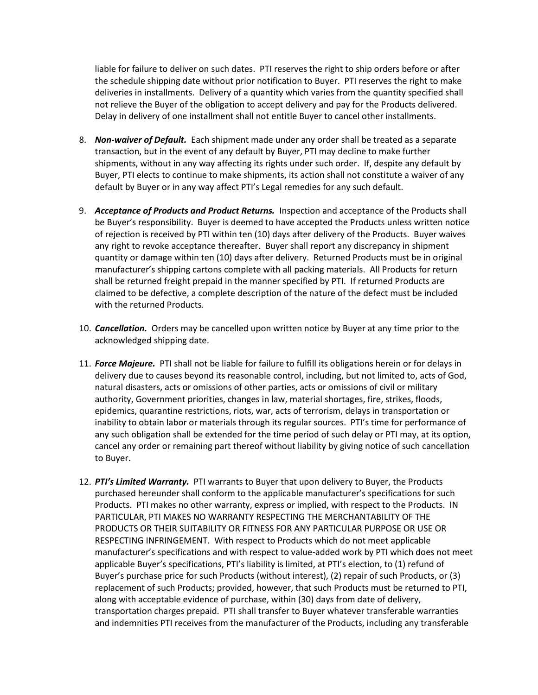liable for failure to deliver on such dates. PTI reserves the right to ship orders before or after the schedule shipping date without prior notification to Buyer. PTI reserves the right to make deliveries in installments. Delivery of a quantity which varies from the quantity specified shall not relieve the Buyer of the obligation to accept delivery and pay for the Products delivered. Delay in delivery of one installment shall not entitle Buyer to cancel other installments.

- 8. *Non-waiver of Default.* Each shipment made under any order shall be treated as a separate transaction, but in the event of any default by Buyer, PTI may decline to make further shipments, without in any way affecting its rights under such order. If, despite any default by Buyer, PTI elects to continue to make shipments, its action shall not constitute a waiver of any default by Buyer or in any way affect PTI's Legal remedies for any such default.
- 9. *Acceptance of Products and Product Returns.* Inspection and acceptance of the Products shall be Buyer's responsibility. Buyer is deemed to have accepted the Products unless written notice of rejection is received by PTI within ten (10) days after delivery of the Products. Buyer waives any right to revoke acceptance thereafter. Buyer shall report any discrepancy in shipment quantity or damage within ten (10) days after delivery. Returned Products must be in original manufacturer's shipping cartons complete with all packing materials. All Products for return shall be returned freight prepaid in the manner specified by PTI. If returned Products are claimed to be defective, a complete description of the nature of the defect must be included with the returned Products.
- 10. *Cancellation.* Orders may be cancelled upon written notice by Buyer at any time prior to the acknowledged shipping date.
- 11. *Force Majeure.* PTI shall not be liable for failure to fulfill its obligations herein or for delays in delivery due to causes beyond its reasonable control, including, but not limited to, acts of God, natural disasters, acts or omissions of other parties, acts or omissions of civil or military authority, Government priorities, changes in law, material shortages, fire, strikes, floods, epidemics, quarantine restrictions, riots, war, acts of terrorism, delays in transportation or inability to obtain labor or materials through its regular sources. PTI's time for performance of any such obligation shall be extended for the time period of such delay or PTI may, at its option, cancel any order or remaining part thereof without liability by giving notice of such cancellation to Buyer.
- 12. *PTI's Limited Warranty.* PTI warrants to Buyer that upon delivery to Buyer, the Products purchased hereunder shall conform to the applicable manufacturer's specifications for such Products. PTI makes no other warranty, express or implied, with respect to the Products. IN PARTICULAR, PTI MAKES NO WARRANTY RESPECTING THE MERCHANTABILITY OF THE PRODUCTS OR THEIR SUITABILITY OR FITNESS FOR ANY PARTICULAR PURPOSE OR USE OR RESPECTING INFRINGEMENT. With respect to Products which do not meet applicable manufacturer's specifications and with respect to value-added work by PTI which does not meet applicable Buyer's specifications, PTI's liability is limited, at PTI's election, to (1) refund of Buyer's purchase price for such Products (without interest), (2) repair of such Products, or (3) replacement of such Products; provided, however, that such Products must be returned to PTI, along with acceptable evidence of purchase, within (30) days from date of delivery, transportation charges prepaid. PTI shall transfer to Buyer whatever transferable warranties and indemnities PTI receives from the manufacturer of the Products, including any transferable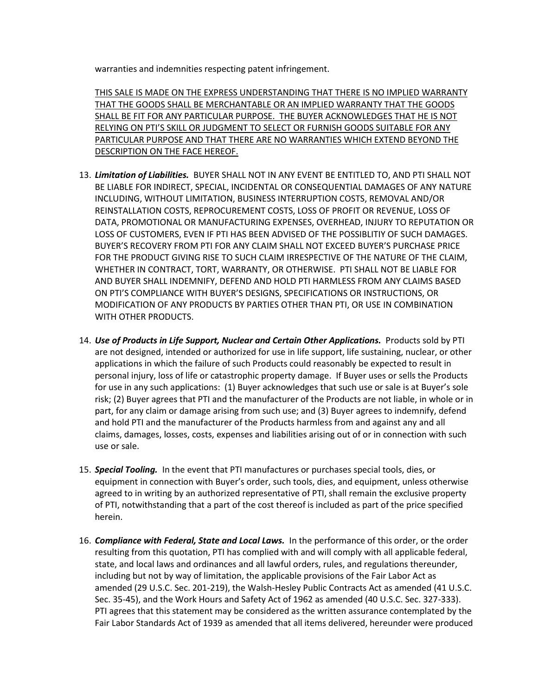warranties and indemnities respecting patent infringement.

THIS SALE IS MADE ON THE EXPRESS UNDERSTANDING THAT THERE IS NO IMPLIED WARRANTY THAT THE GOODS SHALL BE MERCHANTABLE OR AN IMPLIED WARRANTY THAT THE GOODS SHALL BE FIT FOR ANY PARTICULAR PURPOSE. THE BUYER ACKNOWLEDGES THAT HE IS NOT RELYING ON PTI'S SKILL OR JUDGMENT TO SELECT OR FURNISH GOODS SUITABLE FOR ANY PARTICULAR PURPOSE AND THAT THERE ARE NO WARRANTIES WHICH EXTEND BEYOND THE DESCRIPTION ON THE FACE HEREOF.

- 13. *Limitation of Liabilities.* BUYER SHALL NOT IN ANY EVENT BE ENTITLED TO, AND PTI SHALL NOT BE LIABLE FOR INDIRECT, SPECIAL, INCIDENTAL OR CONSEQUENTIAL DAMAGES OF ANY NATURE INCLUDING, WITHOUT LIMITATION, BUSINESS INTERRUPTION COSTS, REMOVAL AND/OR REINSTALLATION COSTS, REPROCUREMENT COSTS, LOSS OF PROFIT OR REVENUE, LOSS OF DATA, PROMOTIONAL OR MANUFACTURING EXPENSES, OVERHEAD, INJURY TO REPUTATION OR LOSS OF CUSTOMERS, EVEN IF PTI HAS BEEN ADVISED OF THE POSSIBLITIY OF SUCH DAMAGES. BUYER'S RECOVERY FROM PTI FOR ANY CLAIM SHALL NOT EXCEED BUYER'S PURCHASE PRICE FOR THE PRODUCT GIVING RISE TO SUCH CLAIM IRRESPECTIVE OF THE NATURE OF THE CLAIM, WHETHER IN CONTRACT, TORT, WARRANTY, OR OTHERWISE. PTI SHALL NOT BE LIABLE FOR AND BUYER SHALL INDEMNIFY, DEFEND AND HOLD PTI HARMLESS FROM ANY CLAIMS BASED ON PTI'S COMPLIANCE WITH BUYER'S DESIGNS, SPECIFICATIONS OR INSTRUCTIONS, OR MODIFICATION OF ANY PRODUCTS BY PARTIES OTHER THAN PTI, OR USE IN COMBINATION WITH OTHER PRODUCTS.
- 14. *Use of Products in Life Support, Nuclear and Certain Other Applications.* Products sold by PTI are not designed, intended or authorized for use in life support, life sustaining, nuclear, or other applications in which the failure of such Products could reasonably be expected to result in personal injury, loss of life or catastrophic property damage. If Buyer uses or sells the Products for use in any such applications: (1) Buyer acknowledges that such use or sale is at Buyer's sole risk; (2) Buyer agrees that PTI and the manufacturer of the Products are not liable, in whole or in part, for any claim or damage arising from such use; and (3) Buyer agrees to indemnify, defend and hold PTI and the manufacturer of the Products harmless from and against any and all claims, damages, losses, costs, expenses and liabilities arising out of or in connection with such use or sale.
- 15. *Special Tooling.* In the event that PTI manufactures or purchases special tools, dies, or equipment in connection with Buyer's order, such tools, dies, and equipment, unless otherwise agreed to in writing by an authorized representative of PTI, shall remain the exclusive property of PTI, notwithstanding that a part of the cost thereof is included as part of the price specified herein.
- 16. *Compliance with Federal, State and Local Laws.* In the performance of this order, or the order resulting from this quotation, PTI has complied with and will comply with all applicable federal, state, and local laws and ordinances and all lawful orders, rules, and regulations thereunder, including but not by way of limitation, the applicable provisions of the Fair Labor Act as amended (29 U.S.C. Sec. 201-219), the Walsh-Hesley Public Contracts Act as amended (41 U.S.C. Sec. 35-45), and the Work Hours and Safety Act of 1962 as amended (40 U.S.C. Sec. 327-333). PTI agrees that this statement may be considered as the written assurance contemplated by the Fair Labor Standards Act of 1939 as amended that all items delivered, hereunder were produced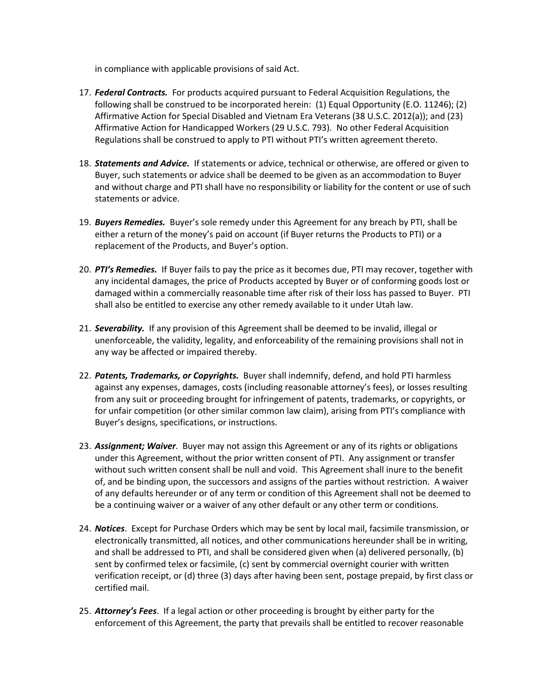in compliance with applicable provisions of said Act.

- 17. *Federal Contracts.* For products acquired pursuant to Federal Acquisition Regulations, the following shall be construed to be incorporated herein: (1) Equal Opportunity (E.O. 11246); (2) Affirmative Action for Special Disabled and Vietnam Era Veterans (38 U.S.C. 2012(a)); and (23) Affirmative Action for Handicapped Workers (29 U.S.C. 793). No other Federal Acquisition Regulations shall be construed to apply to PTI without PTI's written agreement thereto.
- 18. *Statements and Advice.* If statements or advice, technical or otherwise, are offered or given to Buyer, such statements or advice shall be deemed to be given as an accommodation to Buyer and without charge and PTI shall have no responsibility or liability for the content or use of such statements or advice.
- 19. *Buyers Remedies.* Buyer's sole remedy under this Agreement for any breach by PTI, shall be either a return of the money's paid on account (if Buyer returns the Products to PTI) or a replacement of the Products, and Buyer's option.
- 20. *PTI's Remedies.* If Buyer fails to pay the price as it becomes due, PTI may recover, together with any incidental damages, the price of Products accepted by Buyer or of conforming goods lost or damaged within a commercially reasonable time after risk of their loss has passed to Buyer. PTI shall also be entitled to exercise any other remedy available to it under Utah law.
- 21. *Severability.* If any provision of this Agreement shall be deemed to be invalid, illegal or unenforceable, the validity, legality, and enforceability of the remaining provisions shall not in any way be affected or impaired thereby.
- 22. *Patents, Trademarks, or Copyrights.* Buyer shall indemnify, defend, and hold PTI harmless against any expenses, damages, costs (including reasonable attorney's fees), or losses resulting from any suit or proceeding brought for infringement of patents, trademarks, or copyrights, or for unfair competition (or other similar common law claim), arising from PTI's compliance with Buyer's designs, specifications, or instructions.
- 23. *Assignment; Waiver*. Buyer may not assign this Agreement or any of its rights or obligations under this Agreement, without the prior written consent of PTI. Any assignment or transfer without such written consent shall be null and void. This Agreement shall inure to the benefit of, and be binding upon, the successors and assigns of the parties without restriction. A waiver of any defaults hereunder or of any term or condition of this Agreement shall not be deemed to be a continuing waiver or a waiver of any other default or any other term or conditions.
- 24. *Notices*. Except for Purchase Orders which may be sent by local mail, facsimile transmission, or electronically transmitted, all notices, and other communications hereunder shall be in writing, and shall be addressed to PTI, and shall be considered given when (a) delivered personally, (b) sent by confirmed telex or facsimile, (c) sent by commercial overnight courier with written verification receipt, or (d) three (3) days after having been sent, postage prepaid, by first class or certified mail.
- 25. *Attorney's Fees*. If a legal action or other proceeding is brought by either party for the enforcement of this Agreement, the party that prevails shall be entitled to recover reasonable